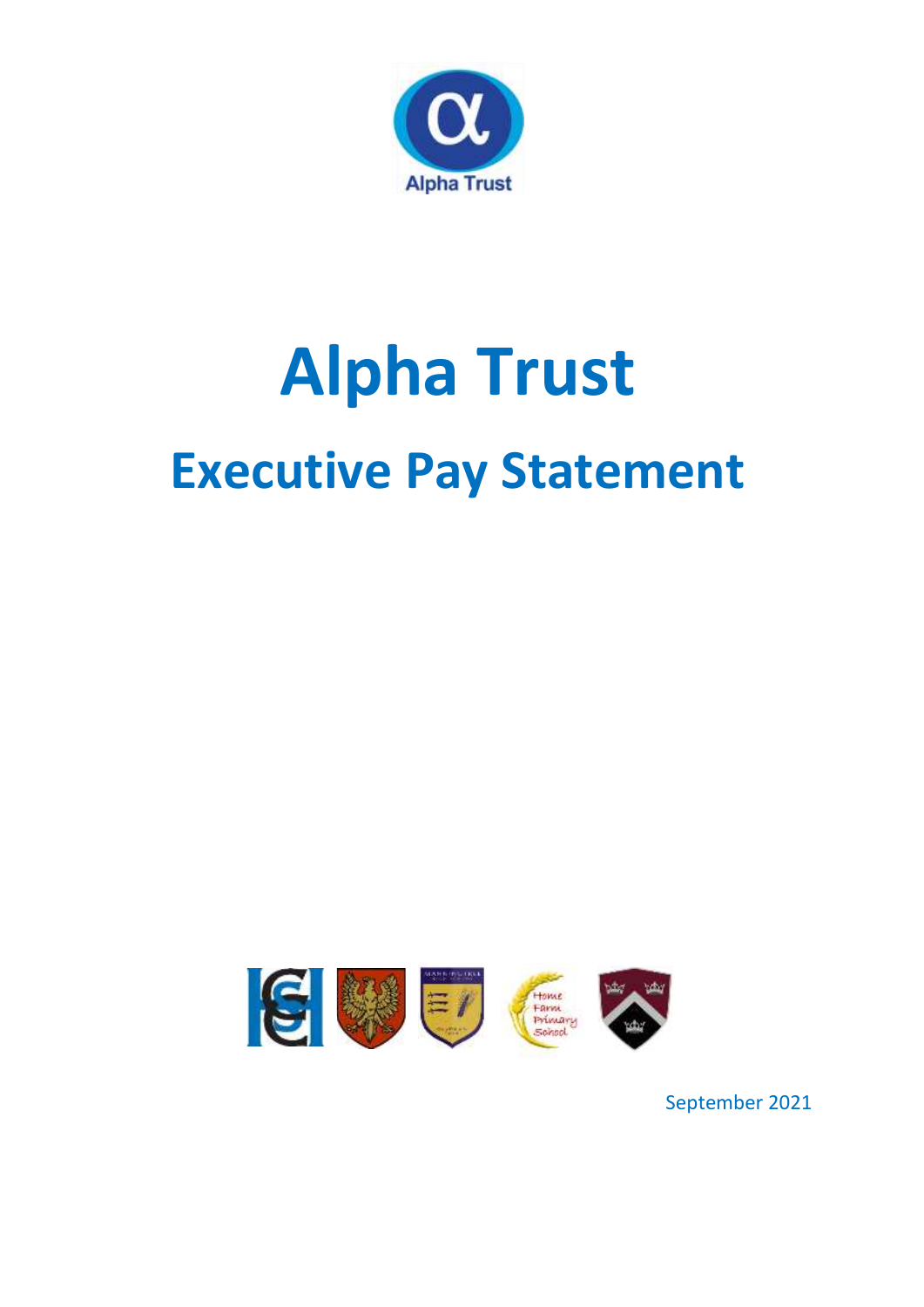

## **Alpha Trust Executive Pay Statement**



September 2021